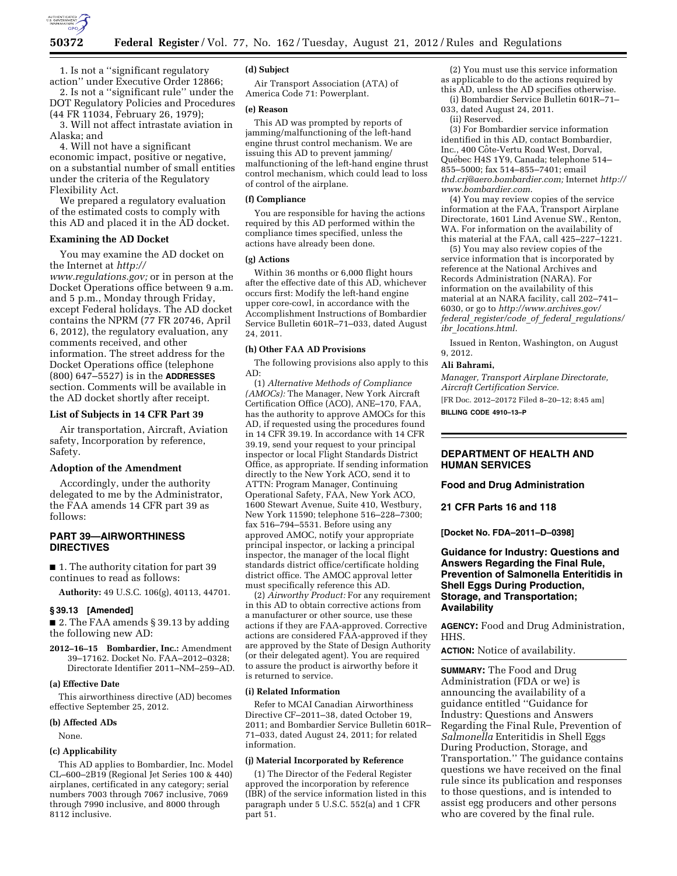

1. Is not a ''significant regulatory action'' under Executive Order 12866;

2. Is not a ''significant rule'' under the DOT Regulatory Policies and Procedures (44 FR 11034, February 26, 1979);

3. Will not affect intrastate aviation in Alaska; and

4. Will not have a significant economic impact, positive or negative, on a substantial number of small entities under the criteria of the Regulatory Flexibility Act.

We prepared a regulatory evaluation of the estimated costs to comply with this AD and placed it in the AD docket.

### **Examining the AD Docket**

You may examine the AD docket on the Internet at *[http://](http://www.regulations.gov)* 

*[www.regulations.gov;](http://www.regulations.gov)* or in person at the Docket Operations office between 9 a.m. and 5 p.m., Monday through Friday, except Federal holidays. The AD docket contains the NPRM (77 FR 20746, April 6, 2012), the regulatory evaluation, any comments received, and other information. The street address for the Docket Operations office (telephone (800) 647–5527) is in the **ADDRESSES** section. Comments will be available in the AD docket shortly after receipt.

### **List of Subjects in 14 CFR Part 39**

Air transportation, Aircraft, Aviation safety, Incorporation by reference, Safety.

### **Adoption of the Amendment**

Accordingly, under the authority delegated to me by the Administrator, the FAA amends 14 CFR part 39 as follows:

# **PART 39—AIRWORTHINESS DIRECTIVES**

■ 1. The authority citation for part 39 continues to read as follows:

**Authority:** 49 U.S.C. 106(g), 40113, 44701.

#### **§ 39.13 [Amended]**

■ 2. The FAA amends § 39.13 by adding the following new AD:

**2012–16–15 Bombardier, Inc.:** Amendment 39–17162. Docket No. FAA–2012–0328; Directorate Identifier 2011–NM–259–AD.

#### **(a) Effective Date**

This airworthiness directive (AD) becomes effective September 25, 2012.

#### **(b) Affected ADs**

None.

#### **(c) Applicability**

This AD applies to Bombardier, Inc. Model CL–600–2B19 (Regional Jet Series 100 & 440) airplanes, certificated in any category; serial numbers 7003 through 7067 inclusive, 7069 through 7990 inclusive, and 8000 through 8112 inclusive.

#### **(d) Subject**

Air Transport Association (ATA) of America Code 71: Powerplant.

# **(e) Reason**

This AD was prompted by reports of jamming/malfunctioning of the left-hand engine thrust control mechanism. We are issuing this AD to prevent jamming/ malfunctioning of the left-hand engine thrust control mechanism, which could lead to loss of control of the airplane.

#### **(f) Compliance**

You are responsible for having the actions required by this AD performed within the compliance times specified, unless the actions have already been done.

### **(g) Actions**

Within 36 months or 6,000 flight hours after the effective date of this AD, whichever occurs first: Modify the left-hand engine upper core-cowl, in accordance with the Accomplishment Instructions of Bombardier Service Bulletin 601R–71–033, dated August 24, 2011.

#### **(h) Other FAA AD Provisions**

The following provisions also apply to this AD:

(1) *Alternative Methods of Compliance (AMOCs):* The Manager, New York Aircraft Certification Office (ACO), ANE–170, FAA, has the authority to approve AMOCs for this AD, if requested using the procedures found in 14 CFR 39.19. In accordance with 14 CFR 39.19, send your request to your principal inspector or local Flight Standards District Office, as appropriate. If sending information directly to the New York ACO, send it to ATTN: Program Manager, Continuing Operational Safety, FAA, New York ACO, 1600 Stewart Avenue, Suite 410, Westbury, New York 11590; telephone 516–228–7300; fax 516–794–5531. Before using any approved AMOC, notify your appropriate principal inspector, or lacking a principal inspector, the manager of the local flight standards district office/certificate holding district office. The AMOC approval letter must specifically reference this AD.

(2) *Airworthy Product:* For any requirement in this AD to obtain corrective actions from a manufacturer or other source, use these actions if they are FAA-approved. Corrective actions are considered FAA-approved if they are approved by the State of Design Authority (or their delegated agent). You are required to assure the product is airworthy before it is returned to service.

# **(i) Related Information**

Refer to MCAI Canadian Airworthiness Directive CF–2011–38, dated October 19, 2011; and Bombardier Service Bulletin 601R– 71–033, dated August 24, 2011; for related information.

#### **(j) Material Incorporated by Reference**

(1) The Director of the Federal Register approved the incorporation by reference (IBR) of the service information listed in this paragraph under 5 U.S.C. 552(a) and 1 CFR part 51.

(2) You must use this service information as applicable to do the actions required by this AD, unless the AD specifies otherwise.

(i) Bombardier Service Bulletin 601R–71– 033, dated August 24, 2011.

(ii) Reserved.

(3) For Bombardier service information identified in this AD, contact Bombardier, Inc., 400 Côte-Vertu Road West, Dorval, Québec H4S 1Y9, Canada; telephone 514-855–5000; fax 514–855–7401; email *[thd.crj@aero.bombardier.com;](mailto:thd.crj@aero.bombardier.com)* Internet *[http://](http://www.bombardier.com)  [www.bombardier.com](http://www.bombardier.com)*.

(4) You may review copies of the service information at the FAA, Transport Airplane Directorate, 1601 Lind Avenue SW., Renton, WA. For information on the availability of this material at the FAA, call 425–227–1221.

(5) You may also review copies of the service information that is incorporated by reference at the National Archives and Records Administration (NARA). For information on the availability of this material at an NARA facility, call 202–741– 6030, or go to *[http://www.archives.gov/](http://www.archives.gov/federal_register/code_of_federal_regulations/ibr_locations.html)  federal*\_*[register/code](http://www.archives.gov/federal_register/code_of_federal_regulations/ibr_locations.html)*\_*of*\_*federal*\_*regulations/ ibr*\_*[locations.html](http://www.archives.gov/federal_register/code_of_federal_regulations/ibr_locations.html)*.

Issued in Renton, Washington, on August 9, 2012.

# **Ali Bahrami,**

*Manager, Transport Airplane Directorate, Aircraft Certification Service.* 

[FR Doc. 2012–20172 Filed 8–20–12; 8:45 am] **BILLING CODE 4910–13–P** 

# **DEPARTMENT OF HEALTH AND HUMAN SERVICES**

## **Food and Drug Administration**

**21 CFR Parts 16 and 118** 

**[Docket No. FDA–2011–D–0398]** 

# **Guidance for Industry: Questions and Answers Regarding the Final Rule, Prevention of Salmonella Enteritidis in Shell Eggs During Production, Storage, and Transportation; Availability**

**AGENCY:** Food and Drug Administration, HHS.

**ACTION:** Notice of availability.

**SUMMARY:** The Food and Drug Administration (FDA or we) is announcing the availability of a guidance entitled ''Guidance for Industry: Questions and Answers Regarding the Final Rule, Prevention of *Salmonella* Enteritidis in Shell Eggs During Production, Storage, and Transportation.'' The guidance contains questions we have received on the final rule since its publication and responses to those questions, and is intended to assist egg producers and other persons who are covered by the final rule.